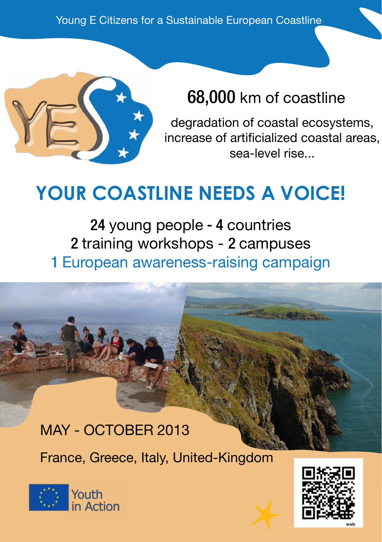

### 68,000 km of coastline

degradation of coastal ecosystems, increase of artificialized coastal areas, sea-level rise...

# **YOUR COASTLINE NEEDS A VOICE!**

24 young people - 4 countries 2 training workshops - 2 campuses 1 European awareness-raising campaign

### May - October 2013

France, Greece, Italy, United-Kingdom